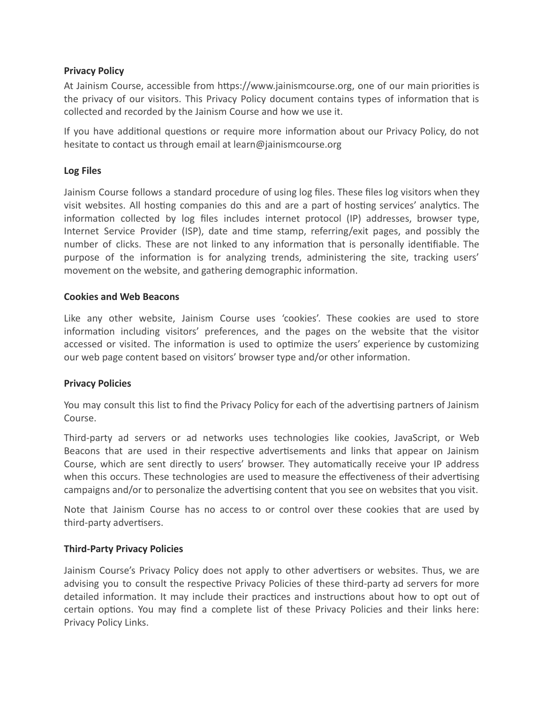# **Privacy Policy**

At Jainism Course, accessible from https://www.jainismcourse.org, one of our main priorities is the privacy of our visitors. This Privacy Policy document contains types of information that is collected and recorded by the Jainism Course and how we use it.

If you have additional questions or require more information about our Privacy Policy, do not hesitate to contact us through email at learn@jainismcourse.org

# **Log Files**

Jainism Course follows a standard procedure of using log files. These files log visitors when they visit websites. All hosting companies do this and are a part of hosting services' analytics. The information collected by log files includes internet protocol (IP) addresses, browser type, Internet Service Provider (ISP), date and time stamp, referring/exit pages, and possibly the number of clicks. These are not linked to any information that is personally identifiable. The purpose of the information is for analyzing trends, administering the site, tracking users' movement on the website, and gathering demographic information.

## **Cookies and Web Beacons**

Like any other website, Jainism Course uses 'cookies'. These cookies are used to store information including visitors' preferences, and the pages on the website that the visitor accessed or visited. The information is used to optimize the users' experience by customizing our web page content based on visitors' browser type and/or other information.

## **Privacy Policies**

You may consult this list to find the Privacy Policy for each of the advertising partners of Jainism Course.

Third-party ad servers or ad networks uses technologies like cookies, JavaScript, or Web Beacons that are used in their respective advertisements and links that appear on Jainism Course, which are sent directly to users' browser. They automatically receive your IP address when this occurs. These technologies are used to measure the effectiveness of their advertising campaigns and/or to personalize the advertising content that you see on websites that you visit.

Note that Jainism Course has no access to or control over these cookies that are used by third-party advertisers.

## **Third-Party Privacy Policies**

Jainism Course's Privacy Policy does not apply to other advertisers or websites. Thus, we are advising you to consult the respective Privacy Policies of these third-party ad servers for more detailed information. It may include their practices and instructions about how to opt out of certain options. You may find a complete list of these Privacy Policies and their links here: Privacy Policy Links.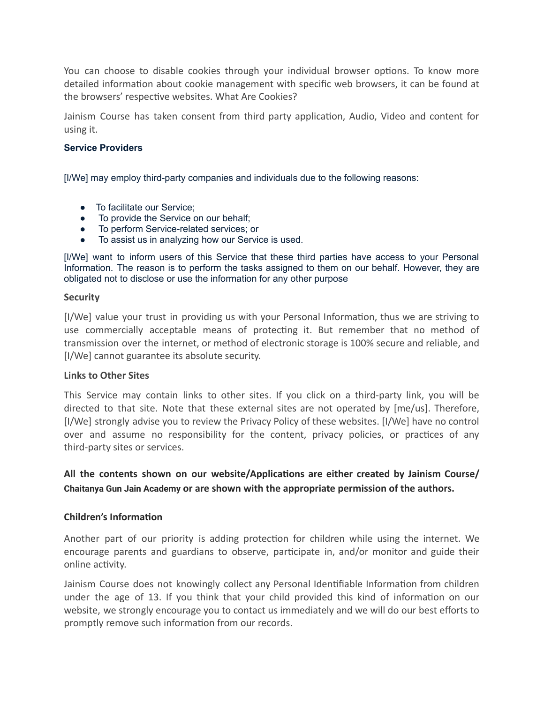You can choose to disable cookies through your individual browser options. To know more detailed information about cookie management with specific web browsers, it can be found at the browsers' respective websites. What Are Cookies?

Jainism Course has taken consent from third party application, Audio, Video and content for using it.

### **Service Providers**

[I/We] may employ third-party companies and individuals due to the following reasons:

- To facilitate our Service;
- To provide the Service on our behalf:
- To perform Service-related services; or
- To assist us in analyzing how our Service is used.

[I/We] want to inform users of this Service that these third parties have access to your Personal Information. The reason is to perform the tasks assigned to them on our behalf. However, they are obligated not to disclose or use the information for any other purpose

#### **Security**

[I/We] value your trust in providing us with your Personal Information, thus we are striving to use commercially acceptable means of protecting it. But remember that no method of transmission over the internet, or method of electronic storage is 100% secure and reliable, and [I/We] cannot guarantee its absolute security.

### **Links to Other Sites**

This Service may contain links to other sites. If you click on a third-party link, you will be directed to that site. Note that these external sites are not operated by [me/us]. Therefore, [I/We] strongly advise you to review the Privacy Policy of these websites. [I/We] have no control over and assume no responsibility for the content, privacy policies, or practices of any third-party sites or services.

**All the contents shown on our website/Applicaons are either created by Jainism Course/ Chaitanya Gun Jain Academy or are shown with the appropriate permission of the authors.**

### **Children's Information**

Another part of our priority is adding protection for children while using the internet. We encourage parents and guardians to observe, participate in, and/or monitor and guide their online activity.

Jainism Course does not knowingly collect any Personal Identifiable Information from children under the age of 13. If you think that your child provided this kind of information on our website, we strongly encourage you to contact us immediately and we will do our best efforts to promptly remove such information from our records.